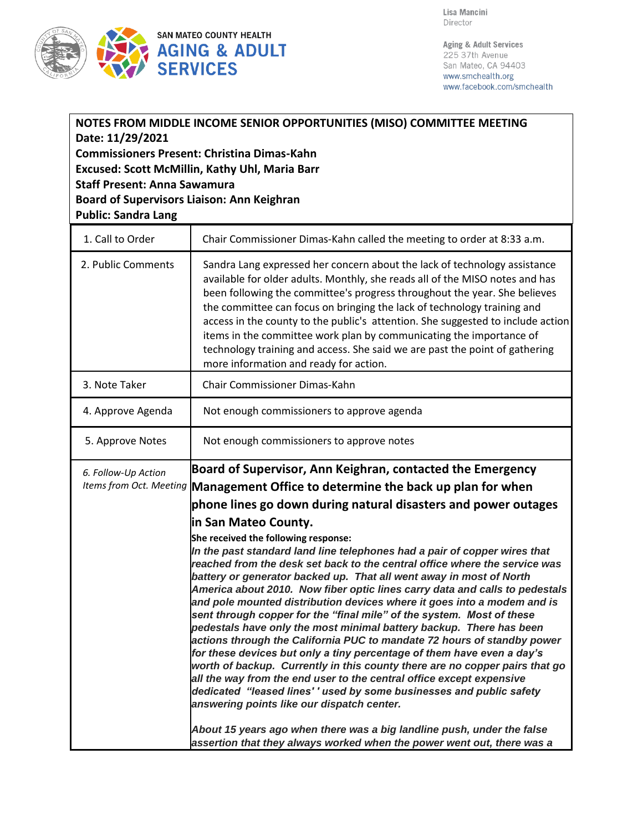

Aging & Adult Services 225 37th Avenue San Mateo, CA 94403 www.smchealth.org www.facebook.com/smchealth

| NOTES FROM MIDDLE INCOME SENIOR OPPORTUNITIES (MISO) COMMITTEE MEETING<br>Date: 11/29/2021<br><b>Commissioners Present: Christina Dimas-Kahn</b><br>Excused: Scott McMillin, Kathy Uhl, Maria Barr<br><b>Staff Present: Anna Sawamura</b><br><b>Board of Supervisors Liaison: Ann Keighran</b><br><b>Public: Sandra Lang</b> |                                                                                                                                                                                                                                                                                                                                                                                                                                                                                                                                                                                                                                                                                                                                                                                                                                                                                                                                                                                                                                                                                                                                                                                                                                                                                                                  |  |
|------------------------------------------------------------------------------------------------------------------------------------------------------------------------------------------------------------------------------------------------------------------------------------------------------------------------------|------------------------------------------------------------------------------------------------------------------------------------------------------------------------------------------------------------------------------------------------------------------------------------------------------------------------------------------------------------------------------------------------------------------------------------------------------------------------------------------------------------------------------------------------------------------------------------------------------------------------------------------------------------------------------------------------------------------------------------------------------------------------------------------------------------------------------------------------------------------------------------------------------------------------------------------------------------------------------------------------------------------------------------------------------------------------------------------------------------------------------------------------------------------------------------------------------------------------------------------------------------------------------------------------------------------|--|
| 1. Call to Order                                                                                                                                                                                                                                                                                                             | Chair Commissioner Dimas-Kahn called the meeting to order at 8:33 a.m.                                                                                                                                                                                                                                                                                                                                                                                                                                                                                                                                                                                                                                                                                                                                                                                                                                                                                                                                                                                                                                                                                                                                                                                                                                           |  |
| 2. Public Comments                                                                                                                                                                                                                                                                                                           | Sandra Lang expressed her concern about the lack of technology assistance<br>available for older adults. Monthly, she reads all of the MISO notes and has<br>been following the committee's progress throughout the year. She believes<br>the committee can focus on bringing the lack of technology training and<br>access in the county to the public's attention. She suggested to include action<br>items in the committee work plan by communicating the importance of<br>technology training and access. She said we are past the point of gathering<br>more information and ready for action.                                                                                                                                                                                                                                                                                                                                                                                                                                                                                                                                                                                                                                                                                                             |  |
| 3. Note Taker                                                                                                                                                                                                                                                                                                                | Chair Commissioner Dimas-Kahn                                                                                                                                                                                                                                                                                                                                                                                                                                                                                                                                                                                                                                                                                                                                                                                                                                                                                                                                                                                                                                                                                                                                                                                                                                                                                    |  |
| 4. Approve Agenda                                                                                                                                                                                                                                                                                                            | Not enough commissioners to approve agenda                                                                                                                                                                                                                                                                                                                                                                                                                                                                                                                                                                                                                                                                                                                                                                                                                                                                                                                                                                                                                                                                                                                                                                                                                                                                       |  |
| 5. Approve Notes                                                                                                                                                                                                                                                                                                             | Not enough commissioners to approve notes                                                                                                                                                                                                                                                                                                                                                                                                                                                                                                                                                                                                                                                                                                                                                                                                                                                                                                                                                                                                                                                                                                                                                                                                                                                                        |  |
| 6. Follow-Up Action<br>Items from Oct. Meeting                                                                                                                                                                                                                                                                               | Board of Supervisor, Ann Keighran, contacted the Emergency<br>Management Office to determine the back up plan for when<br>phone lines go down during natural disasters and power outages<br>in San Mateo County.<br>She received the following response:<br>In the past standard land line telephones had a pair of copper wires that<br>reached from the desk set back to the central office where the service was<br>battery or generator backed up. That all went away in most of North<br>America about 2010. Now fiber optic lines carry data and calls to pedestals<br>and pole mounted distribution devices where it goes into a modem and is<br>sent through copper for the "final mile" of the system. Most of these<br>pedestals have only the most minimal battery backup. There has been<br>actions through the California PUC to mandate 72 hours of standby power<br>for these devices but only a tiny percentage of them have even a day's<br>worth of backup. Currently in this county there are no copper pairs that go<br>all the way from the end user to the central office except expensive<br>dedicated "leased lines' ' used by some businesses and public safety<br>answering points like our dispatch center.<br>About 15 years ago when there was a big landline push, under the false |  |

assertion that they always worked when the power went out, there was a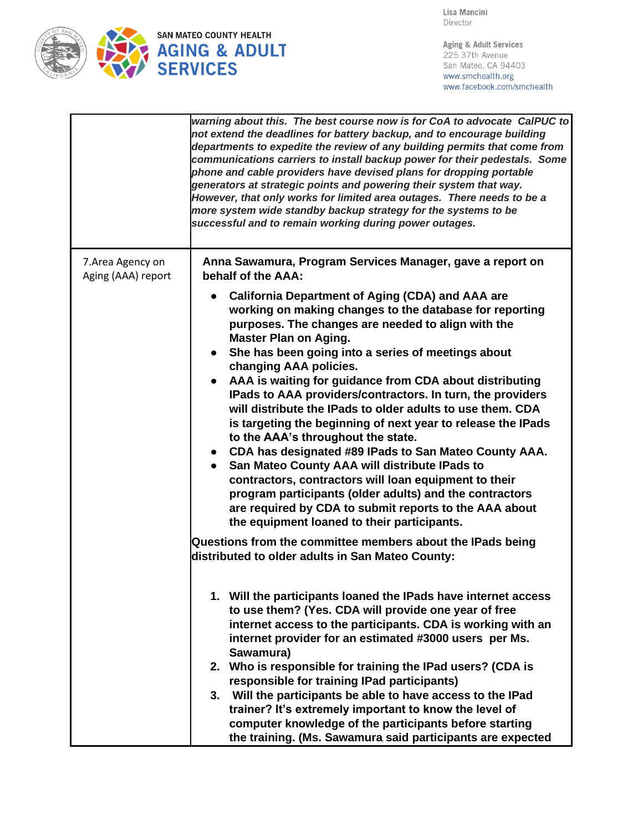

Lisa Mancini Director

Aging & Adult Services 225 37th Avenue San Mateo, CA 94403 www.smchealth.org www.facebook.com/smchealth

|                                         | warning about this. The best course now is for CoA to advocate CalPUC to<br>not extend the deadlines for battery backup, and to encourage building<br>departments to expedite the review of any building permits that come from<br>communications carriers to install backup power for their pedestals. Some<br>phone and cable providers have devised plans for dropping portable<br>generators at strategic points and powering their system that way.<br>However, that only works for limited area outages. There needs to be a<br>more system wide standby backup strategy for the systems to be<br>successful and to remain working during power outages.                                                                                                                                                                                                                                                                              |
|-----------------------------------------|---------------------------------------------------------------------------------------------------------------------------------------------------------------------------------------------------------------------------------------------------------------------------------------------------------------------------------------------------------------------------------------------------------------------------------------------------------------------------------------------------------------------------------------------------------------------------------------------------------------------------------------------------------------------------------------------------------------------------------------------------------------------------------------------------------------------------------------------------------------------------------------------------------------------------------------------|
| 7. Area Agency on<br>Aging (AAA) report | Anna Sawamura, Program Services Manager, gave a report on<br>behalf of the AAA:                                                                                                                                                                                                                                                                                                                                                                                                                                                                                                                                                                                                                                                                                                                                                                                                                                                             |
|                                         | <b>California Department of Aging (CDA) and AAA are</b><br>working on making changes to the database for reporting<br>purposes. The changes are needed to align with the<br><b>Master Plan on Aging.</b><br>She has been going into a series of meetings about<br>changing AAA policies.<br>AAA is waiting for guidance from CDA about distributing<br>$\bullet$<br>IPads to AAA providers/contractors. In turn, the providers<br>will distribute the IPads to older adults to use them. CDA<br>is targeting the beginning of next year to release the IPads<br>to the AAA's throughout the state.<br>• CDA has designated #89 IPads to San Mateo County AAA.<br>San Mateo County AAA will distribute IPads to<br>contractors, contractors will loan equipment to their<br>program participants (older adults) and the contractors<br>are required by CDA to submit reports to the AAA about<br>the equipment loaned to their participants. |
|                                         | Questions from the committee members about the IPads being<br>distributed to older adults in San Mateo County:                                                                                                                                                                                                                                                                                                                                                                                                                                                                                                                                                                                                                                                                                                                                                                                                                              |
|                                         | 1. Will the participants loaned the IPads have internet access<br>to use them? (Yes. CDA will provide one year of free<br>internet access to the participants. CDA is working with an<br>internet provider for an estimated #3000 users per Ms.<br>Sawamura)                                                                                                                                                                                                                                                                                                                                                                                                                                                                                                                                                                                                                                                                                |
|                                         | 2. Who is responsible for training the IPad users? (CDA is<br>responsible for training IPad participants)<br>3. Will the participants be able to have access to the IPad                                                                                                                                                                                                                                                                                                                                                                                                                                                                                                                                                                                                                                                                                                                                                                    |
|                                         | trainer? It's extremely important to know the level of<br>computer knowledge of the participants before starting<br>the training. (Ms. Sawamura said participants are expected                                                                                                                                                                                                                                                                                                                                                                                                                                                                                                                                                                                                                                                                                                                                                              |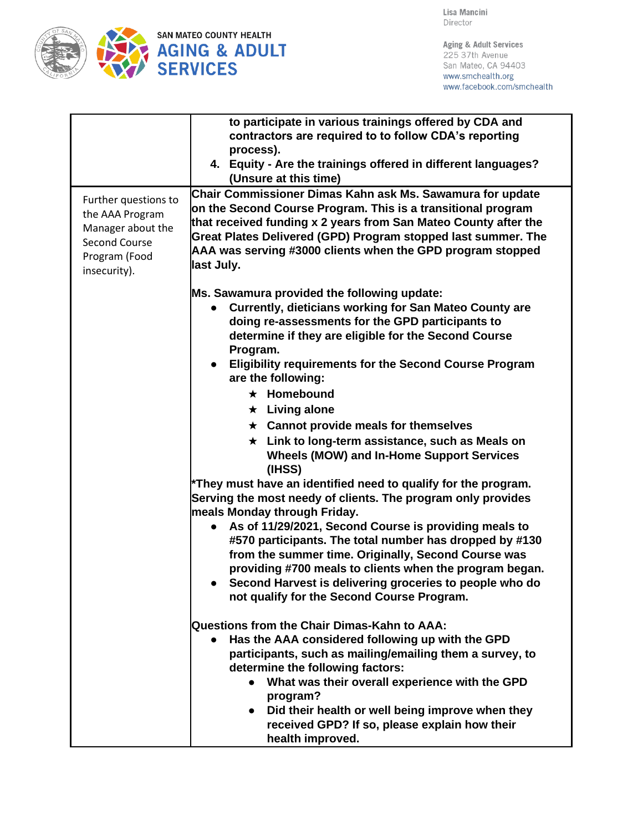

Aging & Adult Services 225 37th Avenue San Mateo, CA 94403 www.smchealth.org www.facebook.com/smchealth

|                      | to participate in various trainings offered by CDA and                                       |
|----------------------|----------------------------------------------------------------------------------------------|
|                      | contractors are required to to follow CDA's reporting                                        |
|                      | process).                                                                                    |
|                      | 4. Equity - Are the trainings offered in different languages?                                |
|                      | (Unsure at this time)                                                                        |
| Further questions to | Chair Commissioner Dimas Kahn ask Ms. Sawamura for update                                    |
| the AAA Program      | on the Second Course Program. This is a transitional program                                 |
| Manager about the    | that received funding x 2 years from San Mateo County after the                              |
| Second Course        | Great Plates Delivered (GPD) Program stopped last summer. The                                |
| Program (Food        | AAA was serving #3000 clients when the GPD program stopped                                   |
| insecurity).         | last July.                                                                                   |
|                      |                                                                                              |
|                      | Ms. Sawamura provided the following update:                                                  |
|                      | <b>Currently, dieticians working for San Mateo County are</b><br>$\bullet$                   |
|                      | doing re-assessments for the GPD participants to                                             |
|                      | determine if they are eligible for the Second Course                                         |
|                      | Program.                                                                                     |
|                      | <b>Eligibility requirements for the Second Course Program</b><br>$\bullet$                   |
|                      | are the following:                                                                           |
|                      | $\star$ Homebound                                                                            |
|                      | $\star$ Living alone                                                                         |
|                      | $\star$ Cannot provide meals for themselves                                                  |
|                      | $\star$ Link to long-term assistance, such as Meals on                                       |
|                      | <b>Wheels (MOW) and In-Home Support Services</b>                                             |
|                      | (IHSS)                                                                                       |
|                      | *They must have an identified need to qualify for the program.                               |
|                      | Serving the most needy of clients. The program only provides<br>meals Monday through Friday. |
|                      | As of 11/29/2021, Second Course is providing meals to<br>$\bullet$                           |
|                      | #570 participants. The total number has dropped by #130                                      |
|                      | from the summer time. Originally, Second Course was                                          |
|                      | providing #700 meals to clients when the program began.                                      |
|                      | • Second Harvest is delivering groceries to people who do                                    |
|                      | not qualify for the Second Course Program.                                                   |
|                      |                                                                                              |
|                      | Questions from the Chair Dimas-Kahn to AAA:                                                  |
|                      | Has the AAA considered following up with the GPD<br>$\bullet$                                |
|                      | participants, such as mailing/emailing them a survey, to                                     |
|                      | determine the following factors:                                                             |
|                      | What was their overall experience with the GPD                                               |
|                      | program?                                                                                     |
|                      | Did their health or well being improve when they<br>$\bullet$                                |
|                      | received GPD? If so, please explain how their                                                |
|                      | health improved.                                                                             |